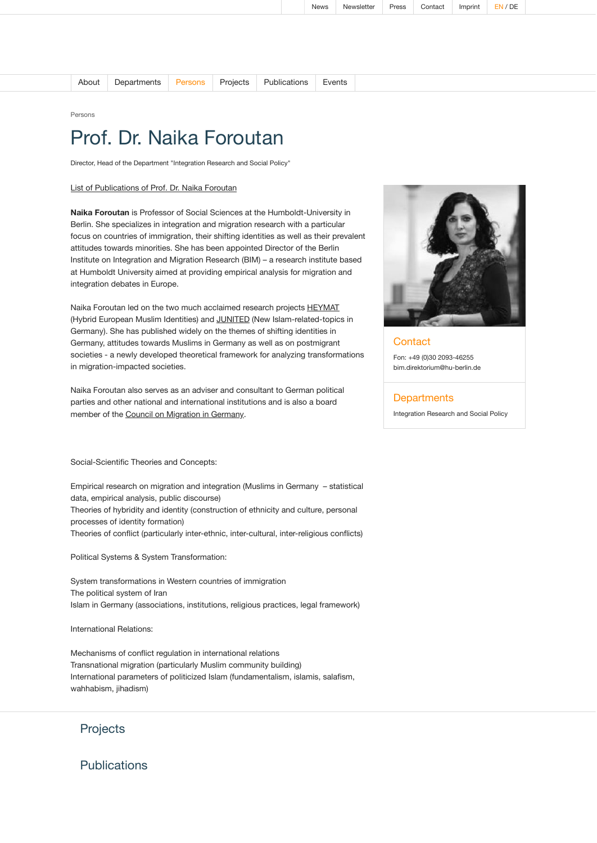| About l | Departments Persons Projects Publications Events |  |  |  |  |
|---------|--------------------------------------------------|--|--|--|--|
|---------|--------------------------------------------------|--|--|--|--|

Persons

## Prof. Dr. Naika Foroutan

Director, Head of the Department "Integration Research and Social Policy"

## List of [Publications of](https://www.bim.hu-berlin.de/media/2021-30-08%20-%20Publikationsverzeichnis%20Foroutan_en.pdf) Prof. Dr. Naika Foroutan

**Naika Foroutan** is Professor of Social Sciences at the Humboldt-University in Berlin. She specializes in integration and migration research with a particular focus on countries of immigration, their shifting identities as well as their prevalent attitudes towards minorities. She has been appointed Director of the Berlin Institute on Integration and Migration Research (BIM) – a research institute based at Humboldt University aimed at providing empirical analysis for migration and integration debates in Europe.

Naika Foroutan led on the two much acclaimed research projects [HEYMAT](https://www.projekte.hu-berlin.de/de/heymat) (Hybrid European Muslim Identities) and [JUNITED](https://www.projekte.hu-berlin.de/de/junited) (New Islam-related-topics in Germany). She has published widely on the themes of shifting identities in Germany, attitudes towards Muslims in Germany as well as on postmigrant societies - a newly developed theoretical framework for analyzing transformations in migration-impacted societies.

Naika Foroutan also serves as an adviser and consultant to German political parties and other national and international institutions and is also a board member of the Council on [Migration](http://www.rat-fuer-migration.de/) in Germany.

Social-Scientific Theories and Concepts:

Empirical research on migration and integration (Muslims in Germany – statistical data, empirical analysis, public discourse) Theories of hybridity and identity (construction of ethnicity and culture, personal processes of identity formation) Theories of conflict (particularly inter-ethnic, inter-cultural, inter-religious conflicts)

Political Systems & System Transformation:

System transformations in Western countries of immigration The political system of Iran Islam in Germany (associations, institutions, religious practices, legal framework)

International Relations:

Mechanisms of conflict regulation in international relations Transnational migration (particularly Muslim community building) International parameters of politicized Islam (fundamentalism, islamis, salafism, wahhabism, jihadism)



Publications

Fon: +49 (0)30 2093-46255 [bim.direktorium@hu-berlin.de](mailto:bim.direktorium@hu-berlin.de)

## **Departments**

**Contact** 

[Integration](https://www.bim.hu-berlin.de/en/departments/integration-research-and-social-policy/) Research and Social Policy